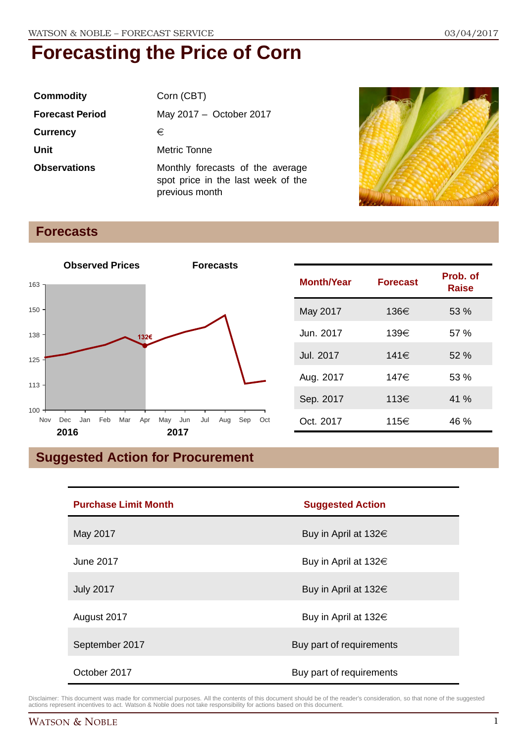| <b>Commodity</b>       | Corn (CBT)                                                                               |
|------------------------|------------------------------------------------------------------------------------------|
| <b>Forecast Period</b> | May 2017 - October 2017                                                                  |
| <b>Currency</b>        | €                                                                                        |
| Unit                   | Metric Tonne                                                                             |
| <b>Observations</b>    | Monthly forecasts of the average<br>spot price in the last week of the<br>previous month |



## **Forecasts**



| <b>Month/Year</b> | <b>Forecast</b> | Prob. of<br><b>Raise</b> |
|-------------------|-----------------|--------------------------|
| May 2017          | 136€            | 53 %                     |
| Jun. 2017         | 139€            | 57%                      |
| Jul. 2017         | 141€            | 52%                      |
| Aug. 2017         | 147€            | 53 %                     |
| Sep. 2017         | 113€            | 41 %                     |
| Oct. 2017         | 115€            | 46 %                     |

## **Suggested Action for Procurement**

| <b>Purchase Limit Month</b> | <b>Suggested Action</b>   |
|-----------------------------|---------------------------|
| May 2017                    | Buy in April at 132€      |
| June 2017                   | Buy in April at $132 \in$ |
| <b>July 2017</b>            | Buy in April at $132 \in$ |
| August 2017                 | Buy in April at $132 \in$ |
| September 2017              | Buy part of requirements  |
| October 2017                | Buy part of requirements  |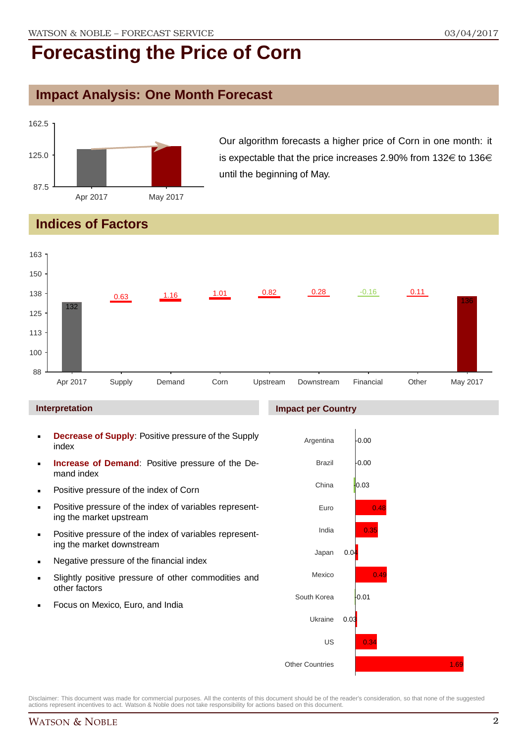### **Impact Analysis: One Month Forecast**



Our algorithm forecasts a higher price of Corn in one month: it is expectable that the price increases 2.90% from  $132 \in \text{to } 136 \in \text{S}$ until the beginning of May.

## **Indices of Factors**



#### **Interpretation**

- **Decrease of Supply**: Positive pressure of the Supply index
- **Increase of Demand**: Positive pressure of the Demand index
- **Positive pressure of the index of Corn**
- **Positive pressure of the index of variables represent**ing the market upstream
- Positive pressure of the index of variables representing the market downstream
- **Negative pressure of the financial index**
- Slightly positive pressure of other commodities and other factors
- Focus on Mexico, Euro, and India

#### **Impact per Country**

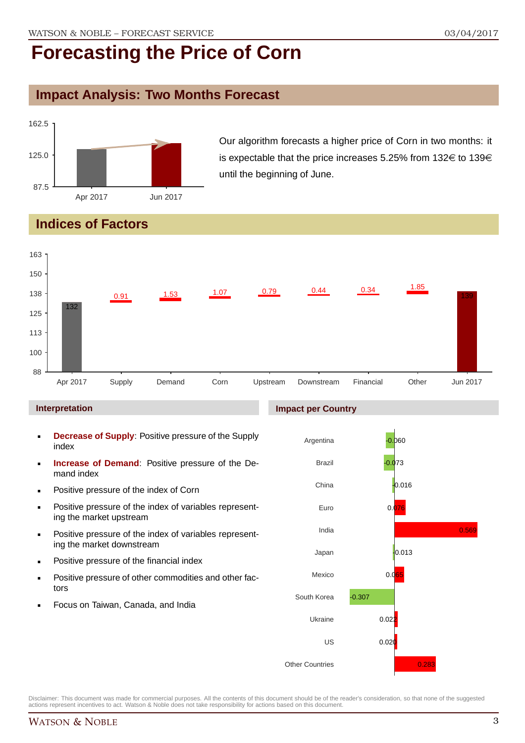## **Impact Analysis: Two Months Forecast**



Our algorithm forecasts a higher price of Corn in two months: it is expectable that the price increases 5.25% from  $132 \in \text{to } 139 \in$ until the beginning of June.

## **Indices of Factors**



#### **Interpretation**

- **Decrease of Supply**: Positive pressure of the Supply index
- **Increase of Demand**: Positive pressure of the Demand index
- **Positive pressure of the index of Corn**
- **Positive pressure of the index of variables represent**ing the market upstream
- **Positive pressure of the index of variables represent**ing the market downstream
- **•** Positive pressure of the financial index
- **Positive pressure of other commodities and other fac**tors
- Focus on Taiwan, Canada, and India

#### **Impact per Country**

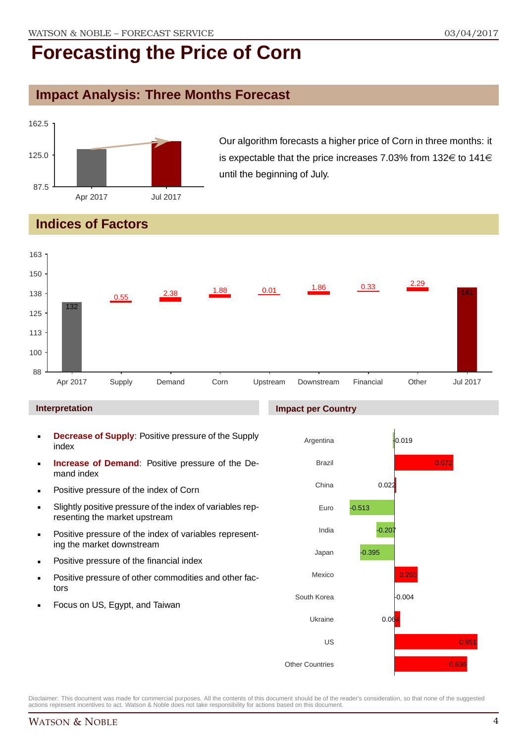### **Impact Analysis: Three Months Forecast**



Our algorithm forecasts a higher price of Corn in three months: it is expectable that the price increases 7.03% from 132 $\in$  to 141 $\in$ until the beginning of July.

## **Indices of Factors**



#### **Interpretation**

- **Decrease of Supply**: Positive pressure of the Supply index
- **Increase of Demand**: Positive pressure of the Demand index
- **Positive pressure of the index of Corn**
- Slightly positive pressure of the index of variables representing the market upstream
- **Positive pressure of the index of variables represent**ing the market downstream
- **•** Positive pressure of the financial index
- **Positive pressure of other commodities and other fac**tors
- Focus on US, Egypt, and Taiwan

#### **Impact per Country**

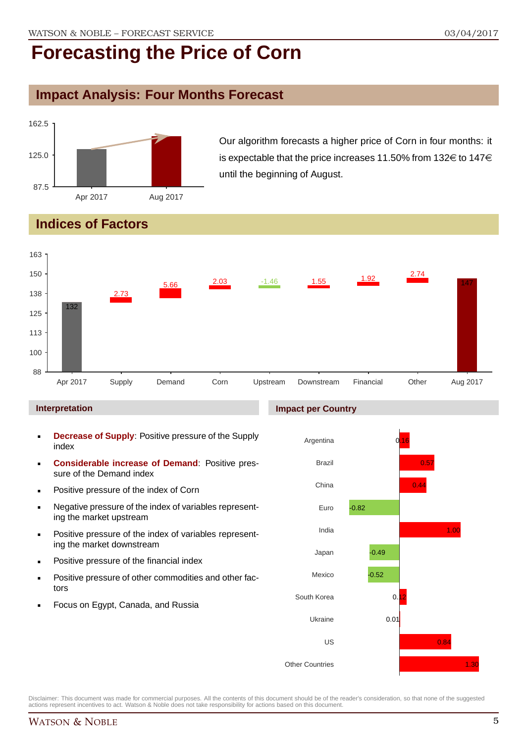### **Impact Analysis: Four Months Forecast**



Our algorithm forecasts a higher price of Corn in four months: it is expectable that the price increases 11.50% from 132 $\in$  to 147 $\in$ until the beginning of August.

## **Indices of Factors**



#### **Interpretation**

- **Decrease of Supply**: Positive pressure of the Supply index
- **Considerable increase of Demand**: Positive pressure of the Demand index
- **Positive pressure of the index of Corn**
- Negative pressure of the index of variables representing the market upstream
- **Positive pressure of the index of variables represent**ing the market downstream
- **•** Positive pressure of the financial index
- **Positive pressure of other commodities and other fac**tors
- Focus on Egypt, Canada, and Russia

#### **Impact per Country**

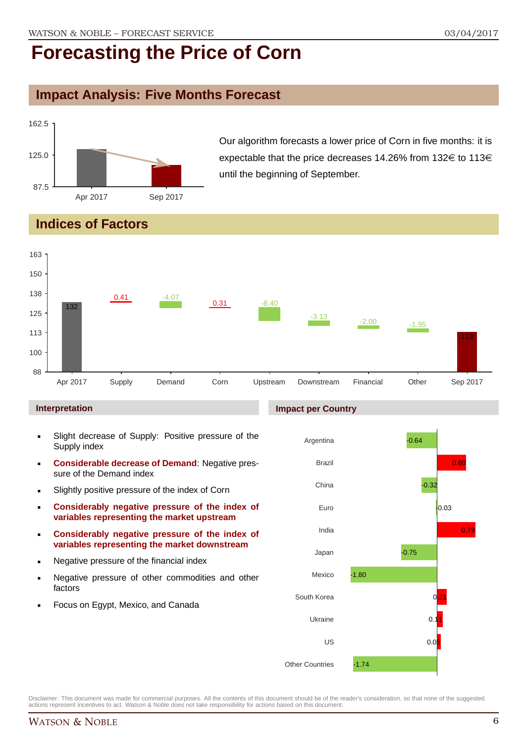### **Impact Analysis: Five Months Forecast**



Our algorithm forecasts a lower price of Corn in five months: it is expectable that the price decreases 14.26% from 132 $\in$  to 113 $\in$ until the beginning of September.

## **Indices of Factors**



#### **Interpretation**

- Slight decrease of Supply: Positive pressure of the Supply index
- **Considerable decrease of Demand**: Negative pressure of the Demand index
- **Slightly positive pressure of the index of Corn**
- **Considerably negative pressure of the index of variables representing the market upstream**
- **Considerably negative pressure of the index of variables representing the market downstream**
- **Negative pressure of the financial index**
- **Negative pressure of other commodities and other** factors
- **Focus on Egypt, Mexico, and Canada**

#### **Impact per Country**

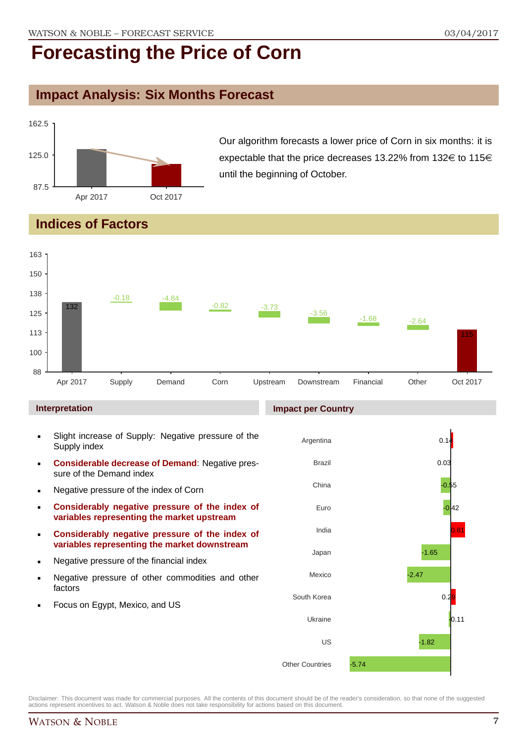### **Impact Analysis: Six Months Forecast**



Our algorithm forecasts a lower price of Corn in six months: it is expectable that the price decreases 13.22% from 132 $\in$  to 115 $\in$ until the beginning of October.

## **Indices of Factors**



#### **Interpretation**

- Slight increase of Supply: Negative pressure of the Supply index
- **Considerable decrease of Demand**: Negative pressure of the Demand index
- **Negative pressure of the index of Corn**
- **Considerably negative pressure of the index of variables representing the market upstream**
- **Considerably negative pressure of the index of variables representing the market downstream**
- **Negative pressure of the financial index**
- **Negative pressure of other commodities and other** factors
- **Focus on Egypt, Mexico, and US**

#### **Impact per Country**

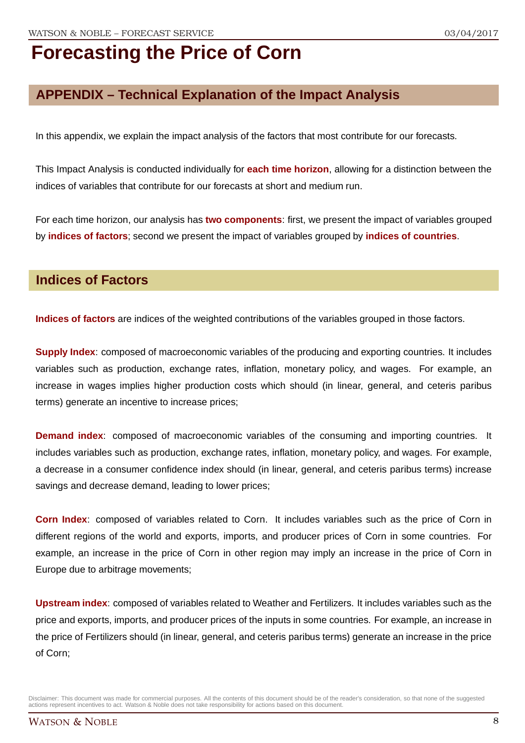## **APPENDIX – Technical Explanation of the Impact Analysis**

In this appendix, we explain the impact analysis of the factors that most contribute for our forecasts.

This Impact Analysis is conducted individually for **each time horizon**, allowing for a distinction between the indices of variables that contribute for our forecasts at short and medium run.

For each time horizon, our analysis has **two components**: first, we present the impact of variables grouped by **indices of factors**; second we present the impact of variables grouped by **indices of countries**.

### **Indices of Factors**

**Indices of factors** are indices of the weighted contributions of the variables grouped in those factors.

**Supply Index**: composed of macroeconomic variables of the producing and exporting countries. It includes variables such as production, exchange rates, inflation, monetary policy, and wages. For example, an increase in wages implies higher production costs which should (in linear, general, and ceteris paribus terms) generate an incentive to increase prices;

**Demand index**: composed of macroeconomic variables of the consuming and importing countries. It includes variables such as production, exchange rates, inflation, monetary policy, and wages. For example, a decrease in a consumer confidence index should (in linear, general, and ceteris paribus terms) increase savings and decrease demand, leading to lower prices;

**Corn Index**: composed of variables related to Corn. It includes variables such as the price of Corn in different regions of the world and exports, imports, and producer prices of Corn in some countries. For example, an increase in the price of Corn in other region may imply an increase in the price of Corn in Europe due to arbitrage movements;

**Upstream index**: composed of variables related to Weather and Fertilizers. It includes variables such as the price and exports, imports, and producer prices of the inputs in some countries. For example, an increase in the price of Fertilizers should (in linear, general, and ceteris paribus terms) generate an increase in the price of Corn;